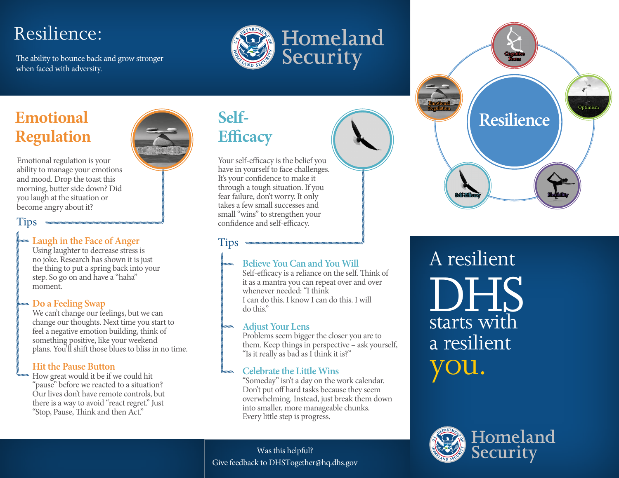# Resilience:

The ability to bounce back and grow stronger when faced with adversity.



# **Emotional Regulation**

Emotional regulation is your ability to manage your emotions and mood. Drop the toast this morning, butter side down? Did you laugh at the situation or become angry about it?

#### Tips

#### **Laugh in the Face of Anger**

Using laughter to decrease stress is no joke. Research has shown it is just the thing to put a spring back into your step. So go on and have a "haha" moment.

#### **Do a Feeling Swap**

We can't change our feelings, but we can change our thoughts. Next time you start to feel a negative emotion building, think of something positive, like your weekend plans. You'll shift those blues to bliss in no time.

#### **Hit the Pause Button**

How great would it be if we could hit "pause" before we reacted to a situation? Our lives don't have remote controls, but there is a way to avoid "react regret." Just "Stop, Pause, Think and then Act."

## **Self-Efficacy**

Tips

Your self-efficacy is the belief you have in yourself to face challenges. It's your confidence to make it through a tough situation. If you fear failure, don't worry. It only takes a few small successes and small "wins" to strengthen your confidence and self-efficacy.

#### **Believe You Can and You Will**

Self-efficacy is a reliance on the self. Think of it as a mantra you can repeat over and over whenever needed: "I think I can do this. I know I can do this. I will do this."

#### **Adjust Your Lens**

Problems seem bigger the closer you are to them. Keep things in perspective – ask yourself, "Is it really as bad as I think it is?"

#### **Celebrate the Little Wins**

"Someday" isn't a day on the work calendar. Don't put off hard tasks because they seem overwhelming. Instead, just break them down into smaller, more manageable chunks. Every little step is progress.

Was this helpful? Give feedback to DHSTogether@hq.dhs.gov



A resilient starts with a resilient DHS ou.